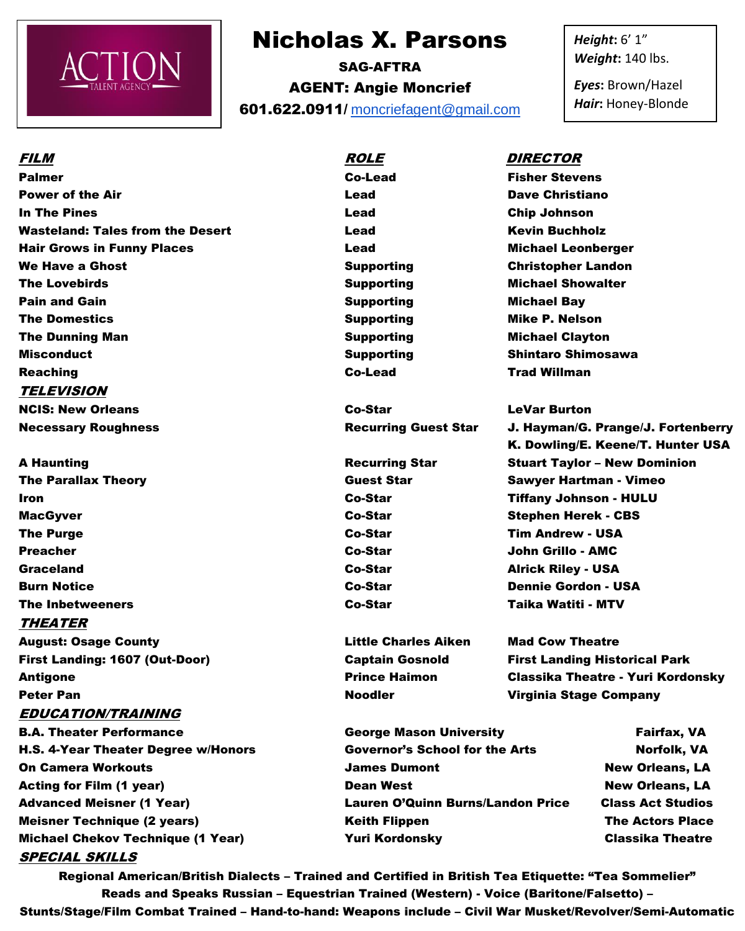

## Nicholas X. Parsons

SAG-AFTRA AGENT: Angie Moncrief 601.622.0911/ [moncriefagent@gmail.com](mailto:moncriefagent@gmail.com) *Height***:** 6' 1" *Weight***:** 140 lbs.

*Eyes***:** Brown/Hazel *Hair***:** Honey-Blonde

Palmer Co-Lead Fisher Stevens **Power of the Air Contract Contract Contract Contract Contract Contract Contract Contract Contract Contract Contract Contract Contract Contract Contract Contract Contract Contract Contract Contract Contract Contract Cont** In The Pines Lead Chip Johnson Wasteland: Tales from the Desert **Lead** Lead Kevin Buchholz Hair Grows in Funny Places Lead Michael Leonberger We Have a Ghost **Supporting Christopher Landon** Supporting Christopher Landon The Lovebirds Supporting Michael Showalter Supporting Michael Showalter Pain and Gain Supporting The Michael Bay The Domestics **Supporting Mike P. Nelson** Supporting Mike P. Nelson The Dunning Man Supporting Michael Clayton Misconduct Supporting Shintaro Shimosawa Reaching Co-Lead Trad Willman TELEVISION NCIS: New Orleans Co-Star LeVar Burton

MacGyver **Co-Star Stephen Herek - CBS** Co-Star Stephen Herek - CBS The Purge Co-Star Tim Andrew - USA Preacher Co-Star John Grillo - AMC Graceland Co-Star Alrick Riley - USA Burn Notice Co-Star Dennie Gordon - USA The Inbetweeners Co-Star Taika Watiti - MTV THEATER

August: Osage County Little Charles Aiken Mad Cow Theatre First Landing: 1607 (Out-Door) Captain Gosnold First Landing Historical Park Antigone **Prince Haimon** Classika Theatre - Yuri Kordonsky Peter Pan Noodler Noodler Virginia Stage Company EDUCATION/TRAINING SPECIAL SKILLS

- B.A. Theater Performance George Mason University Fairfax, VA H.S. 4-Year Theater Degree w/Honors Governor's School for the Arts Norfolk, VA On Camera Workouts **South Accord Contract Contract Contract Contract Contract Contract Contract Contract Contract Contract Contract Contract Contract On Contract Contract Contract Contract Contract Contract Contract Contra** Acting for Film (1 year) **Dean West** Dean West New Orleans, LA Advanced Meisner (1 Year) Lauren O'Quinn Burns/Landon Price Class Act Studios Meisner Technique (2 years) **The Actors Place Keith Flippen** The Actors Place **The Actors Place** Michael Chekov Technique (1 Year) **The Classic Classic View Yuri Kordonsky** Classika Theatre
- 

Regional American/British Dialects – Trained and Certified in British Tea Etiquette: "Tea Sommelier" Reads and Speaks Russian – Equestrian Trained (Western) - Voice (Baritone/Falsetto) – Stunts/Stage/Film Combat Trained – Hand-to-hand: Weapons include – Civil War Musket/Revolver/Semi-Automatic

## FILM ROLE DIRECTOR

Necessary Roughness Recurring Guest Star J. Hayman/G. Prange/J. Fortenberry K. Dowling/E. Keene/T. Hunter USA A Haunting **Recurring Star** Stuart Taylor – New Dominion The Parallax Theory Guest Star Sawyer Hartman - Vimeo Iron Co-Star Tiffany Johnson - HULU